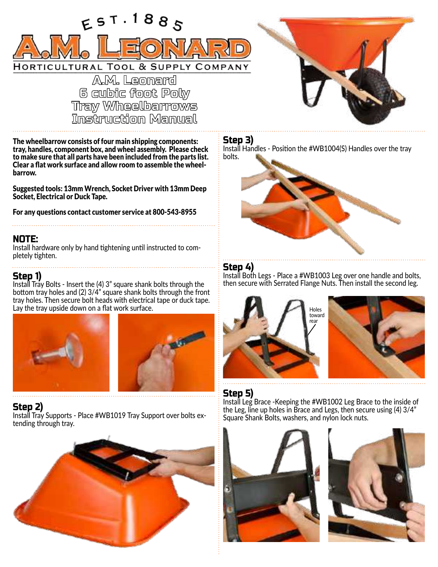

**6 cubic foot Poly Tray Wheelbarrows**<br>Instruction Manual

The wheelbarrow consists of four main shipping components: tray, handles, component box, and wheel assembly. Please check to make sure that all parts have been included from the parts list. Clear a flat work surface and allow room to assemble the wheelbarrow.

Suggested tools: 13mm Wrench, Socket Driver with 13mm Deep Socket, Electrical or Duck Tape.

For any questions contact customer service at 800-543-8955

### NOTE:

Install hardware only by hand tightening until instructed to completely tighten.

### Step 1)

Install Tray Bolts - Insert the (4) 3" square shank bolts through the bottom tray holes and (2) 3/4" square shank bolts through the front tray holes. Then secure bolt heads with electrical tape or duck tape. Lay the tray upside down on a flat work surface.





### Step 2)

Install Tray Supports - Place #WB1019 Tray Support over bolts extending through tray.



### Step 3)

Install Handles - Position the #WB1004(S) Handles over the tray bolts.



### Step 4)

Install Both Legs - Place a #WB1003 Leg over one handle and bolts, then secure with Serrated Flange Nuts. Then install the second leg.



# Step 5)

Install Leg Brace -Keeping the #WB1002 Leg Brace to the inside of the Leg, line up holes in Brace and Legs, then secure using (4) 3/4" Square Shank Bolts, washers, and nylon lock nuts.



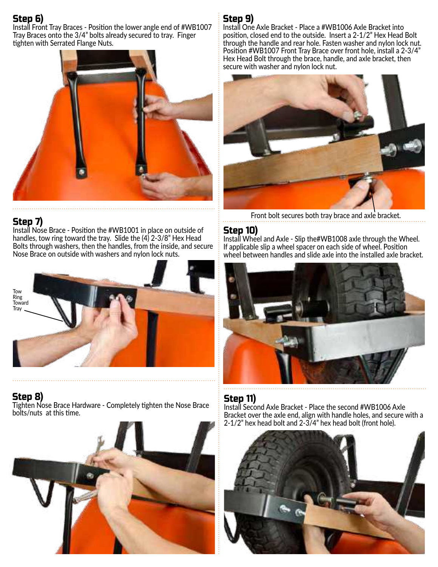# Step 6)

Install Front Tray Braces - Position the lower angle end of #WB1007 Tray Braces onto the 3/4" bolts already secured to tray. Finger tighten with Serrated Flange Nuts.



### Step 7)

Install Nose Brace - Position the #WB1001 in place on outside of handles, tow ring toward the tray. Slide the (4) 2-3/8" Hex Head Bolts through washers, then the handles, from the inside, and secure Nose Brace on outside with washers and nylon lock nuts.



Step 8) Tighten Nose Brace Hardware - Completely tighten the Nose Brace bolts/nuts at this time.



# Step 9)

Install One Axle Bracket - Place a #WB1006 Axle Bracket into position, closed end to the outside. Insert a 2-1/2" Hex Head Bolt through the handle and rear hole. Fasten washer and nylon lock nut. Position #WB1007 Front Tray Brace over front hole, install a 2-3/4" Hex Head Bolt through the brace, handle, and axle bracket, then secure with washer and nylon lock nut.



Front bolt secures both tray brace and axle bracket.

# Step 10)

Install Wheel and Axle - Slip the#WB1008 axle through the Wheel. If applicable slip a wheel spacer on each side of wheel. Position wheel between handles and slide axle into the installed axle bracket.



### Step 11)

Install Second Axle Bracket - Place the second #WB1006 Axle Bracket over the axle end, align with handle holes, and secure with a 2-1/2" hex head bolt and 2-3/4" hex head bolt (front hole).

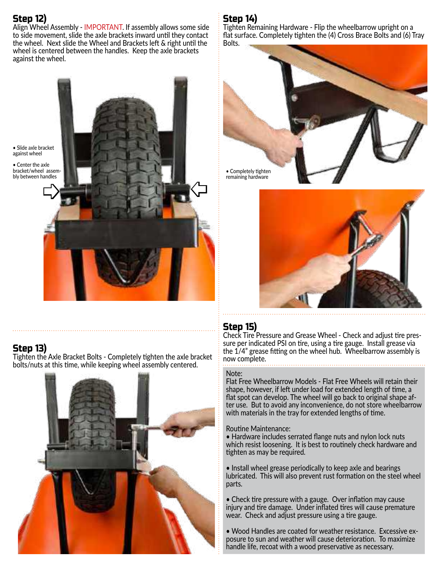# Step 12)

Align Wheel Assembly - IMPORTANT. If assembly allows some side to side movement, slide the axle brackets inward until they contact the wheel. Next slide the Wheel and Brackets left & right until the wheel is centered between the handles. Keep the axle brackets against the wheel.

• Slide axle bracket against wheel

• Center the axle bracket/wheel assem-<br>bly between handles

E)

# Step 13)

Tighten the Axle Bracket Bolts - Completely tighten the axle bracket bolts/nuts at this time, while keeping wheel assembly centered.



# Step 14)

Tighten Remaining Hardware - Flip the wheelbarrow upright on a flat surface. Completely tighten the (4) Cross Brace Bolts and (6) Tray Bolts.





# Step 15)

 $\zeta$ 

Check Tire Pressure and Grease Wheel - Check and adjust tire pressure per indicated PSI on tire, using a tire gauge. Install grease via the 1/4" grease fitting on the wheel hub. Wheelbarrow assembly is now complete.

### Note:

Flat Free Wheelbarrow Models - Flat Free Wheels will retain their shape, however, if left under load for extended length of time, a flat spot can develop. The wheel will go back to original shape after use. But to avoid any inconvenience, do not store wheelbarrow with materials in the tray for extended lengths of time.

### Routine Maintenance:

• Hardware includes serrated flange nuts and nylon lock nuts which resist loosening. It is best to routinely check hardware and tighten as may be required.

• Install wheel grease periodically to keep axle and bearings lubricated. This will also prevent rust formation on the steel wheel parts.

• Check tire pressure with a gauge. Over inflation may cause injury and tire damage. Under inflated tires will cause premature wear. Check and adjust pressure using a tire gauge.

• Wood Handles are coated for weather resistance. Excessive exposure to sun and weather will cause deterioration. To maximize handle life, recoat with a wood preservative as necessary.